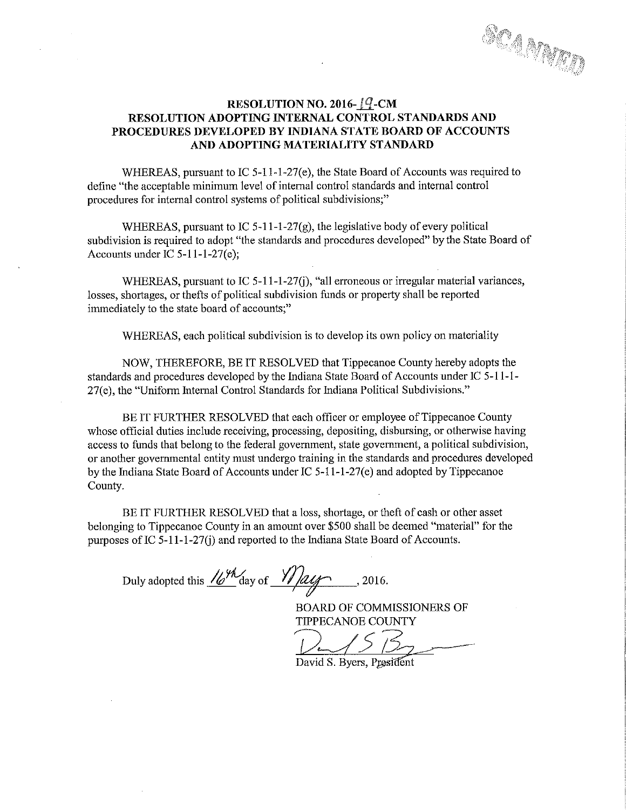SCAMATI

### RESOLUTION NO. 2016- $1$ <sup>Q</sup>-CM RESOLUTION ADOPTING INTERNAL CONTROL STANDARDS AND PROCEDURES DEVELOPED BY INDIANA STATE BOARD OF ACCOUNTS AND ADOPTING MATERIALITY STANDARD

WHEREAS, pursuant to IC  $5-11-1-27(e)$ , the State Board of Accounts was required to define "the acceptable minimum level Of internal control standards and internal control procedures for internal control systems of political subdivisions;"

WHEREAS, pursuant to IC 5-11-1-27 $(g)$ , the legislative body of every political subdivision is required to adopt "the standards and procedures developed" by the State Board of Accounts under IC 5-11-1—27(e);

WHEREAS, pursuant to IC 5-11-1-27(j), "all erroneous or irregular material variances, losses, shortages, or thefts of political subdivision funds or property shall be reported immediately to the state board of accounts,"

WHEREAS, each political subdivision is to develop its own policy on materiality

NOW, THEREFORE, BE IT RESOLVED that Tippecanoe County hereby adopts the standards and procedures developed by the Indiana State Board of Accounts under IC 5-11-1-27(e), the "Uniform Internal Control Standards for Indiana Political Subdivisions."

BE IT FURTHER RESOLVED that each officer or employee of Tippecanoe County whose official duties include receiving, processing, depositing, disbursing, or otherwise having access to funds that belong to the federal government, state government, <sup>a</sup> political subdivision, or another governmental entity must undergo training in the standards and procedures developed by the Indiana State Board of Accounts under IC  $5-11-1-27(e)$  and adopted by Tippecanoe County.

BE IT FURTHER RESOLVED that <sup>a</sup> loss, shortage, or theft of cash or other asset belonging to Tippecanoe County in an amount over \$500 shall be deemed "material" for the purposes of IC  $5-11-1-27(i)$  and reported to the Indiana State Board of Accounts.

Duly adopted this  $\frac{16^{44}}{4}$  day of  $\frac{1}{2}$  algorithmuse , 2016.

BOARD OF COMMISSIONERS OF TIPPECANOE COUNTY

David S. Byers, President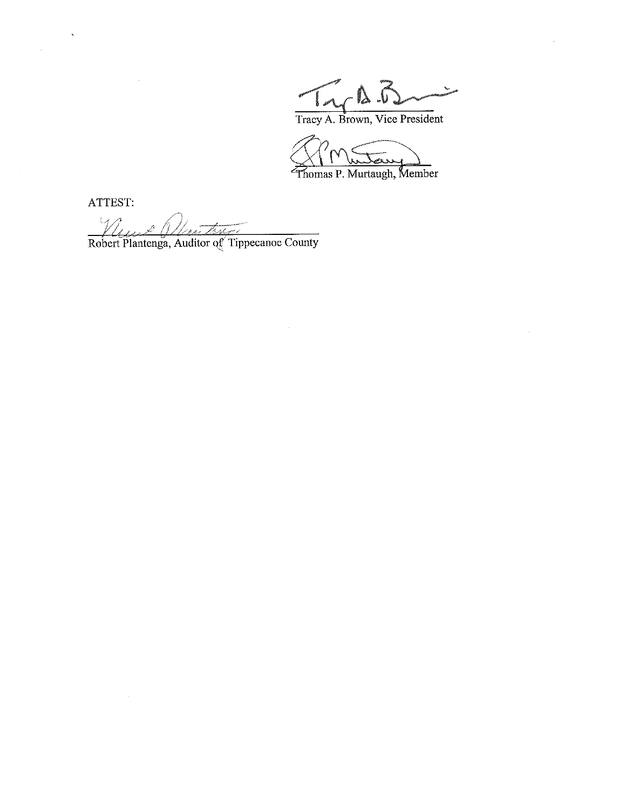Tracy A. Brown, Vice President

fiomas P. Murtaugh, Member

ATTEST:

 $\mathcal{L}$ 

*Vliente Monton Lines*<br>Robert Plantenga, Auditor of Tippecanoe County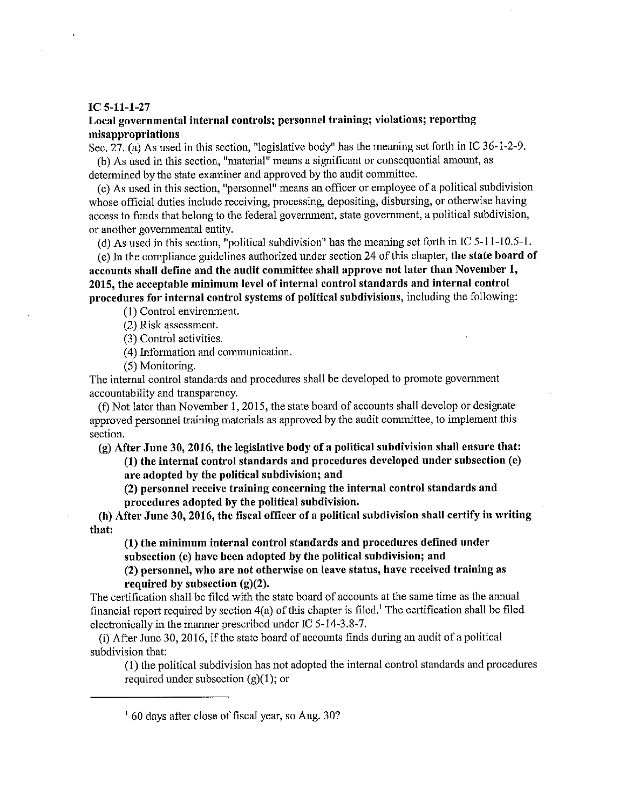#### IC 5-11-1—27

### Local governmental internal controls; personne<sup>l</sup> training; violations; reporting misappropriations

Sec. 27. (a) As used in this section, "legislative body" has the meaning set forth in IC 36—1-2-9.

(b) As used in this section, "material" means <sup>a</sup> significant or consequential amount, as determined by the state examiner and approved by the audit committee.

(c) As used in this section, "personnel" means an officer or employee of <sup>a</sup> political subdivision whose official duties include receiving, processing, depositing, disbursing, or otherwise having access to funds that belong to the federal government, state government, <sup>a</sup> political subdivision, or another governmental entity.

((1) As used in this section, "political subdivision" has the meaning set forth in IC 5-11—10.5—1.

(e) In the compliance guidelines authorized under section <sup>24</sup> of this chapter, the state board of accounts shall define and the audit committee shall approve not later than November 1, 2015, the acceptable minimum level of internal control standards and internal control procedures for internal control systems of political subdivisions, including the following:

(1) Control environment.

(2) Risk assessment.

(3) Control activities.

(4) Information and communication.

(5) Monitoring.

The internal control standards and procedures shall be developed to promote governmen<sup>t</sup> accountability and transparency.

(f) Not later than November 1, 2015, the state board of accounts shall develop or designate approved personne<sup>l</sup> training materials as approved by the audit committee, to implement this section.

(g) After June 30, 2016, the legislative body of <sup>a</sup> political subdivision shall ensure that:

(1) the internal control standards and procedures developed under subsection (c) are adopted by the political subdivision; and

(2) personne<sup>l</sup> receive training concerning the internal control standards and procedures adopted by the political subdivision.

(h) After June 30, 2016, the fiscal officer of <sup>a</sup> political subdivision shall certify in writing that:

(l) the minimum internal control standards and procedures defined under subsection (e) have been adopted by the political subdivision; and

(2) personnel, who are not otherwise on leave status, have received training as required by subsection (g)(2).

The certification shall be filed with the state board of accounts at the same time as the annual financial report required by section  $4(a)$  of this chapter is filed.<sup>1</sup> The certification shall be filed electronically in the manner prescribed under IC 5—l4~3.8-7.

 $(i)$  After June 30, 2016, if the state board of accounts finds during an audit of a political subdivision that:

(l) the political subdivision has not adopted the internal control standards and procedures required under subsection  $(g)(1)$ ; or

i $160$  days after close of fiscal year, so Aug. 30?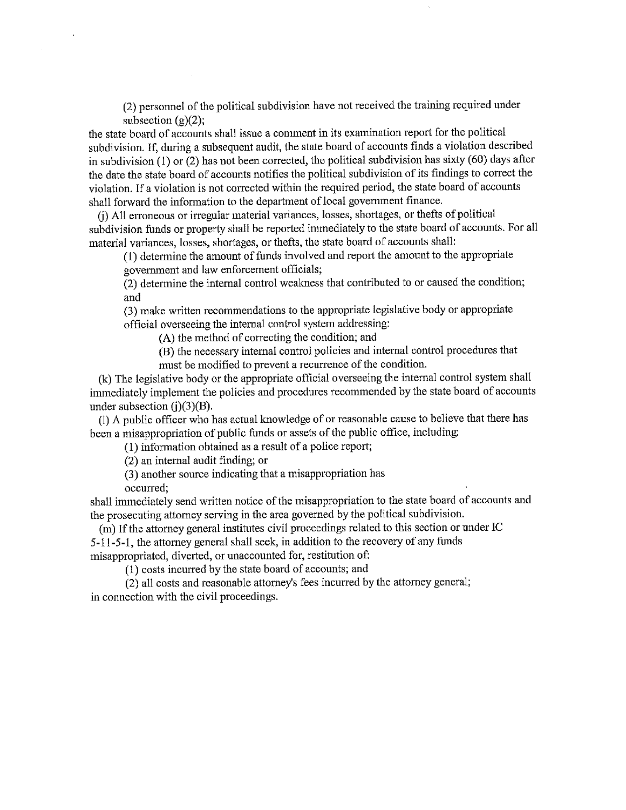(2) personnel of the political subdivision have not received the training required under subsection  $(g)(2)$ ;

the state board of accounts shall issue <sup>a</sup> comment in its examination report for the political subdivision. If, during a subsequent audit, the state board of accounts finds a violation described in subdivision (1) or (2) has not been corrected, the political subdivision has sixty (60) days after the date the state board of accounts notifies the political subdivision of its findings to correct the violation. If <sup>a</sup> violation is not corrected within the required period, the state board of accounts shall forward the information to the department of local governmen<sup>t</sup> finance.

(j) All erroneous or irregular material variances, losses, shortages, or thefts of political subdivision funds or property shall be reported immediately to the state board of accounts. For all material variances, losses, shortages, or thefts, the state board of accounts shall:

(1) determine the amount of funds involved and report the amount to the appropriate

governmen<sup>t</sup> and law enforcement officials;

(2) determine the internal control weakness that contributed to or caused the condition; and

(3) make written recommendations to the appropriate legislative body or appropriate official overseeing the internal control system addressing:

(A) the method of correcting the condition; and

(B) the necessary internal control policies and internal control procedures that must be modified to prevent <sup>a</sup> recurrence of the condition.

(k) The legislative body or the appropriate official overseeing the internal control system shall immediately implement the policies and procedures recommended by the state board of accounts under subsection  $(i)(3)(B)$ .

(1) A public officer who has actual knowledge of or reasonable cause to believe that there has been <sup>a</sup> misappropriation of public funds or assets of the public office, including:

(1) information obtained as <sup>a</sup> result of <sup>a</sup> police report;

(2) an internal audit finding; or

(3) another source indicating that <sup>a</sup> misappropriation has

occurred;

shall immediately send written notice of the misappropriation to the state board of accounts and the prosecuting attorney serving in the area governe<sup>d</sup> by the political subdivision.

(m) If the attorney general institutes civil proceedings related to this section or under IC S-l 1-5-1, the attorney genera<sup>l</sup> shall seek, in addition to the recovery of any funds misappropriated, diverted, or unaccounted for, restitution of:

(1) costs incurred by the state board of accounts; and

(2) all costs and reasonable attorney's fees incurred by the attorney general; in connection with the civil proceedings.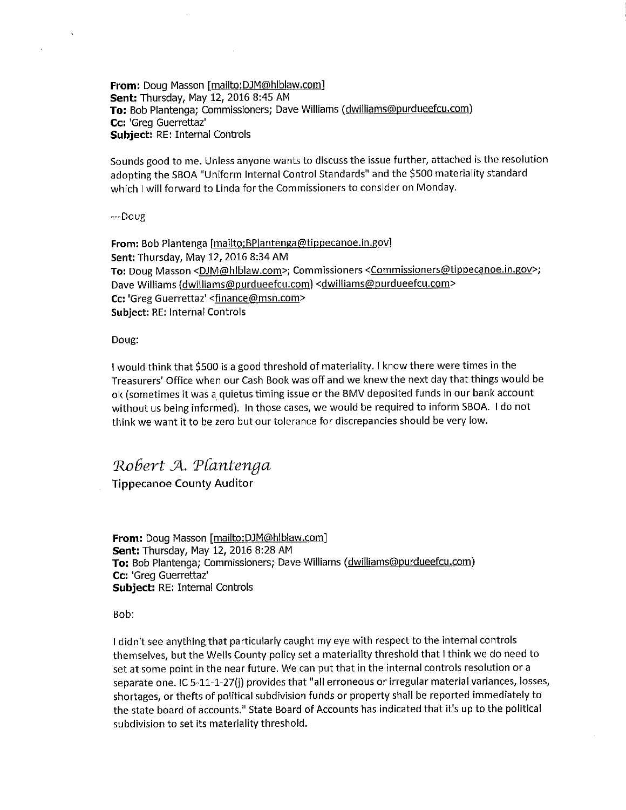From: Doug Masson [mailto:DJM@hlblaw.com] Sent: Thursday, May 12, 2016 8:45 AM To: Bob Plantenga; Commissioners; Dave Williams (dwilliams@purdueefcu.com) Cc: 'Greg Guerrettaz' Subject: RE: Internal Controls

Sounds good to me. Unless anyone wants to discuss the issue further, attached is the resolution adopting the 580A "Uniform internal Control Standards" and the \$500 materiality standard which I will forward to Linda for the Commissioners to consider on Monday.

--Doug

 $\ddot{\phantom{a}}$ 

From: Bob Plantenga [mailto:BPlantenga@tippecanoe.in.gov] Sent: Thursday, May 12, 2016 8:34 AM To: Doug Masson < DJM@hlblaw.com>; Commissioners < Commissioners@tippecanoe.in.gov>; Dave Williams (dwilliams@purdueefcu.com) <dwilliams@purdueefcu.com> Cc: 'Greg Guerrettaz' <finance@msn.com> Subject: RE: internal Controls

Doug:

i would think that \$500 is <sup>a</sup> good threshold of materiality. <sup>i</sup> know there were times in the Treasurers' Office when our Cash Book was off and we knew the next day that things would be ok (sometimes it was a, quietus timing issue or the BMV deposited funds in our bank account without us being informed). in those cases, we would be required to inform 880A. <sup>i</sup> do not think we want it to be zero but our tolerance for discrepancies should be very low.

## Robert A. Plantenga

Tippecanoe County Auditor

From: Doug Masson [mailto:DJM@hlblaw.com] Sent: Thursday, May 12, 2016 8:28 AM To: Bob Plantenga; Commissioners; Dave Williams (dwilliams@purdueefcu.com) Cc: 'Greg Guerrettaz' Subject: RE: Internal Controls

Bob:

I didn't see anything that particularly caught my eye with respect to the internal controls themselves, but the Wells County policy set <sup>a</sup> materiality threshold that <sup>i</sup> think we do need to set at some point in the near future. We can put that in the internal controls resolution or <sup>a</sup> separate one. IC 5-11-1-27(i) provides that "all erroneous or irregular material variances, losses, shortages, or thefts of political subdivision funds or property shall be reported immediately to the state board of accounts." State Board of Accounts has indicated that it's up to the political subdivision to set its materiality threshold.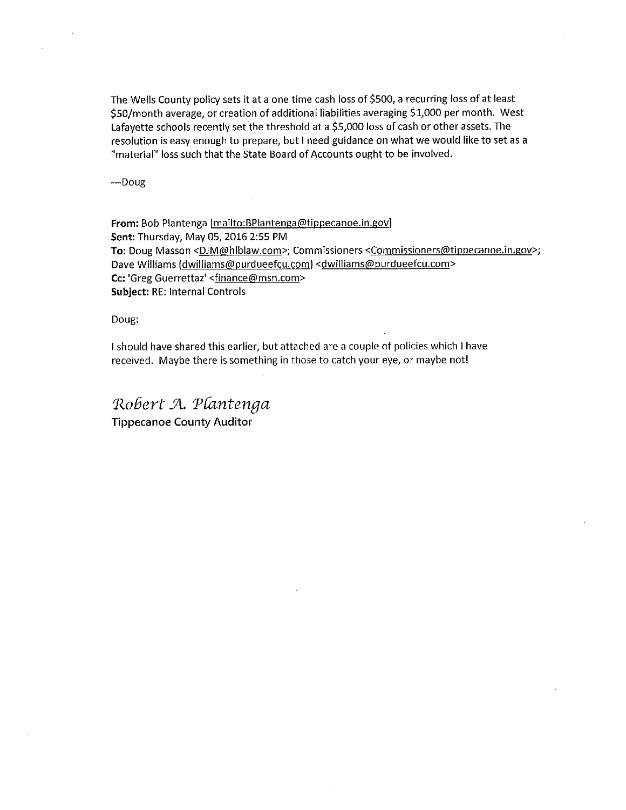The Wells County policy sets it at <sup>a</sup> one time cash loss of \$500, <sup>a</sup> recurring loss of at least \$50/month average, or creation of additional liabilities averaging \$1,000 per month. West Lafayette schools recently set the threshold at <sup>a</sup> \$5,000 loss of cash or other assets. The resolution is easy enoug<sup>h</sup> to prepare, but <sup>I</sup> need guidance on what we would like to set as <sup>a</sup> "material" loss such that the State Board of Accounts ought to be involved.

—-——Doug

From: Bob Plantenga [mailto:BPlantenga@tippecanoe.in.gov] Sent: Thursday, May 05, 2016 2:55 PM To: Doug Masson <DJM@hlblaw.com>; Commissioners <Commissioners@tippecanoe.in.gov>; Dave Williams (dwilliams@purdueefcu.com) <dwilliams@purdueefcu.com> Cc: 'Greg Guerrettaz' <finance@msn.com> Subject: RE: Internal Controls

Doug:

 should have shared this earlier, but attached are <sup>a</sup> couple of policies which I have received. Maybe there is something in those to catch your eye, or maybe not!

Robert A. Plantenga Tippecanoe County Auditor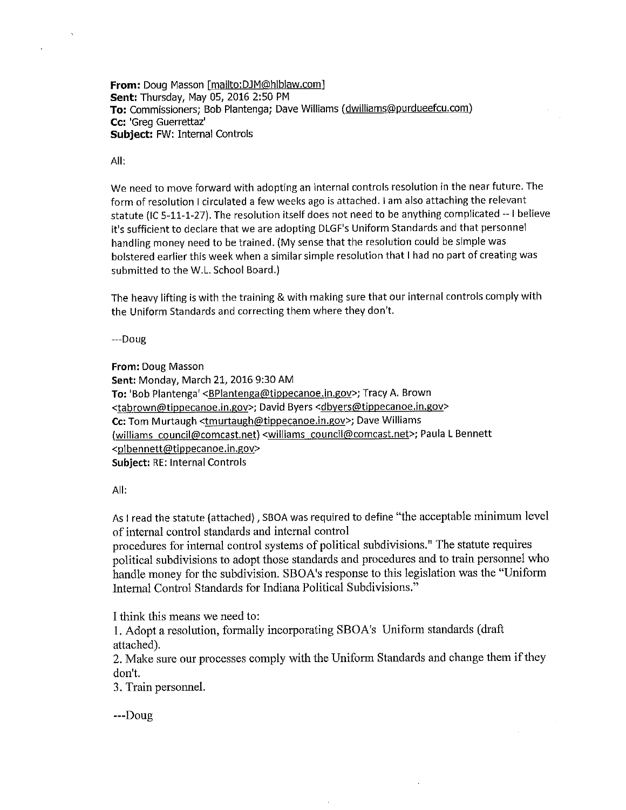From: Doug Masson [mailto:DJM@hlblaw.com] Sent: Thursday, May 05,2016 2:50 PM To: Commissioners; Bob Plantenga; Dave Williams (dwilliams@purdueefcu.com) Cc: 'Greg Guerrettaz' Subject: FW: Internal Controls

### All:

We need to move forward with adopting an internal controls resolution in the near future. The form of resolution I circulated a few weeks ago is attached. I am also attaching the relevant statute (IC 5—11—1-27]. The resolution itself does not need to be anything complicated -- <sup>i</sup> believe it's sufficient to declare that we are adopting DLGF's Uniform Standards and that personnel handling money need to be trained. (My sense that the resolution could be simple was bolstered earlier this week when a similar simple resolution that I had no part of creating was submitted to the W.L. School Board.)

The heavy lifting is with the training & with making sure that our internal controls comply with the Uniform Standards and correcting them where they don't.

---Doug

From: Doug Masson Sent: Monday, March 21, 2016 9:30 AM To: 'Bob Plantenga' <**BPlantenga@tippecanoe.in.gov>**; Tracy A. Brown <tabrown@tippecanoe.in.gov>; David Byers <dbyers@tippecanoe.in.gov> Cc: Tom Murtaugh <tmurtaugh@tippecanoe.in.gov>; Dave Williams (Williams council@comcast.net) <williams council@comcast.net>; Paula <sup>L</sup> Bennett <plbennett@tippecanoe.in.gov> Subject: RE: Internal Controls

### All:

As <sup>i</sup> read the statute (attached) , SBOA was required to define "the acceptable minimum level of internal control standards and internal control

procedures for internal control systems of political subdivisions." The statute requires political subdivisions to adopt those standards and procedures and to train personne<sup>l</sup> who handle money for the subdivision. SBOA's response to this legislation was the "Uniform Internal Control Standards for Indiana Political Subdivisions."

I think this means we need to:

1. Adopt <sup>a</sup> resolution, formally incorporating SBOA's Uniform standards (draft attached).

2. Make sure our processes comply with the Uniform Standards and change them if they don't.

3. Train personnel.

---Doug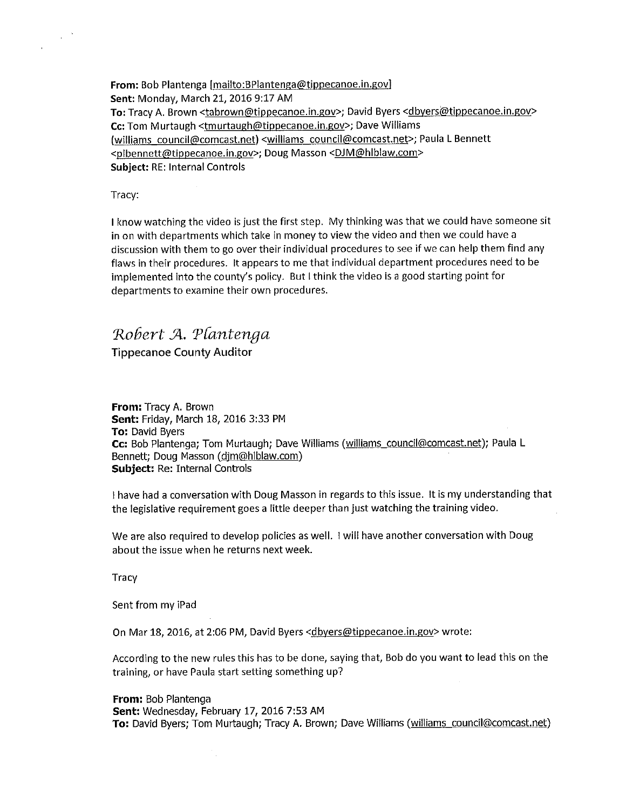From: Bob Plantenga [mailto:BPlantenga@tippecanoe.in.gov] Sent: Monday, March 21, 2016 9:17 AM To: Tracy A. Brown <tabrown@tippecanoe.in.gov>; David Byers <dbyers@tippecanoe.in.gov> Cc: Tom Murtaugh <tmurtaugh@tippecanoe.in.gov>; Dave Williams lwilliams council@comcast.net) <wiliiams council@comcast.net>; Paula L Bennett <plbennett@tippecanoe.in.gov>; Doug Masson <DJM@hlblaw.com> Subject: RE: Internal Controls

Tracy:

 $\chi^2$  ).

II know watching the video is just the first step. My thinking was that we could have someone sit in on with departments which take in money to view the video and then we could have <sup>a</sup> discussion with them to go over their individual procedures to see if we can help them findany flaws in their procedures. it appears to me that individual department procedures need to be impiemented into the county's policy. But <sup>I</sup> think the video is <sup>a</sup> good starting point for departments to examine their own procedures.

# Robert A. Plantenga

Tippecanoe County Auditor

From: Tracy A. Brown Sent: Friday, March 18, 2016 3:33 PM **To: David Byers** Cc: Bob Piantenga; Tom Murtaugh; Dave Williams (williams council@comcast.net); Paula <sup>L</sup> Bennett; Doug Masson (dim@hlblaw.com) Subject: Re: Internal Controls

 have had <sup>a</sup> conversation with Doug Masson in regards to this issue. it is my understanding that the legislative requirement goes <sup>a</sup> little deeper than just watching the training video.

We are also required to develop policies as well. I will have another conversation with Doug about the issue when he returns next week.

**Tracy** 

Sent from my iPad

On Mar 18, 2016, at 2:06 PM, David Byers <dbvers@tippecanoe.in.gov> wrote:

According to the new rules this has to be done, saying that, Bob do you want to lead this on the training, or have Paula start setting something up?

From: Bob Plantenga Sent: Wednesday, February 17, 2016 7:53 AM To: David Byers; Tom Murtaugh; Tracy A. Brown; Dave Williams (williams council@comcast.net)